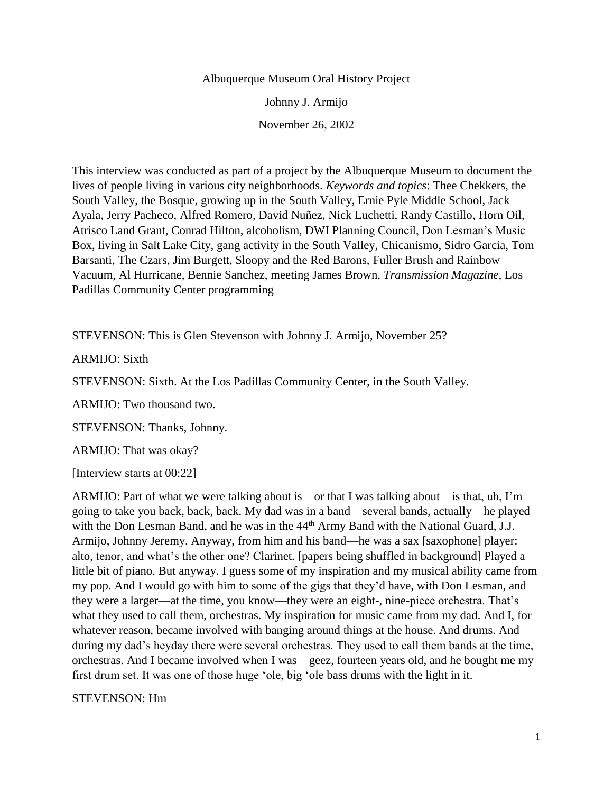#### Albuquerque Museum Oral History Project

Johnny J. Armijo

November 26, 2002

This interview was conducted as part of a project by the Albuquerque Museum to document the lives of people living in various city neighborhoods. *Keywords and topics*: Thee Chekkers, the South Valley, the Bosque, growing up in the South Valley, Ernie Pyle Middle School, Jack Ayala, Jerry Pacheco, Alfred Romero, David Nuñez, Nick Luchetti, Randy Castillo, Horn Oil, Atrisco Land Grant, Conrad Hilton, alcoholism, DWI Planning Council, Don Lesman's Music Box, living in Salt Lake City, gang activity in the South Valley, Chicanismo, Sidro Garcia, Tom Barsanti, The Czars, Jim Burgett, Sloopy and the Red Barons, Fuller Brush and Rainbow Vacuum, Al Hurricane, Bennie Sanchez, meeting James Brown, *Transmission Magazine*, Los Padillas Community Center programming

STEVENSON: This is Glen Stevenson with Johnny J. Armijo, November 25?

ARMIJO: Sixth

STEVENSON: Sixth. At the Los Padillas Community Center, in the South Valley.

ARMIJO: Two thousand two.

STEVENSON: Thanks, Johnny.

ARMIJO: That was okay?

[Interview starts at 00:22]

ARMIJO: Part of what we were talking about is—or that I was talking about—is that, uh, I'm going to take you back, back, back. My dad was in a band—several bands, actually—he played with the Don Lesman Band, and he was in the 44<sup>th</sup> Army Band with the National Guard, J.J. Armijo, Johnny Jeremy. Anyway, from him and his band—he was a sax [saxophone] player: alto, tenor, and what's the other one? Clarinet. [papers being shuffled in background] Played a little bit of piano. But anyway. I guess some of my inspiration and my musical ability came from my pop. And I would go with him to some of the gigs that they'd have, with Don Lesman, and they were a larger—at the time, you know—they were an eight-, nine-piece orchestra. That's what they used to call them, orchestras. My inspiration for music came from my dad. And I, for whatever reason, became involved with banging around things at the house. And drums. And during my dad's heyday there were several orchestras. They used to call them bands at the time, orchestras. And I became involved when I was—geez, fourteen years old, and he bought me my first drum set. It was one of those huge 'ole, big 'ole bass drums with the light in it.

STEVENSON: Hm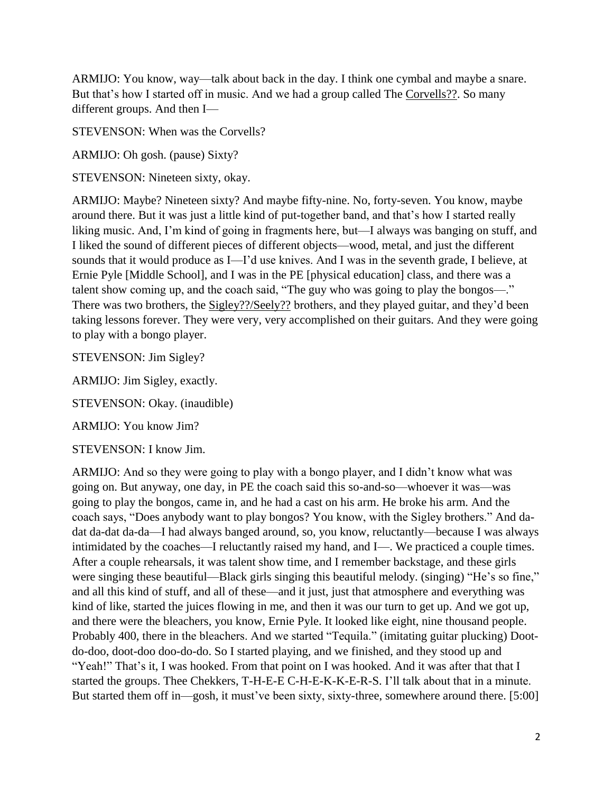ARMIJO: You know, way—talk about back in the day. I think one cymbal and maybe a snare. But that's how I started off in music. And we had a group called The Corvells??. So many different groups. And then I—

STEVENSON: When was the Corvells?

ARMIJO: Oh gosh. (pause) Sixty?

STEVENSON: Nineteen sixty, okay.

ARMIJO: Maybe? Nineteen sixty? And maybe fifty-nine. No, forty-seven. You know, maybe around there. But it was just a little kind of put-together band, and that's how I started really liking music. And, I'm kind of going in fragments here, but—I always was banging on stuff, and I liked the sound of different pieces of different objects—wood, metal, and just the different sounds that it would produce as I—I'd use knives. And I was in the seventh grade, I believe, at Ernie Pyle [Middle School], and I was in the PE [physical education] class, and there was a talent show coming up, and the coach said, "The guy who was going to play the bongos—." There was two brothers, the Sigley??/Seely?? brothers, and they played guitar, and they'd been taking lessons forever. They were very, very accomplished on their guitars. And they were going to play with a bongo player.

STEVENSON: Jim Sigley?

ARMIJO: Jim Sigley, exactly.

STEVENSON: Okay. (inaudible)

ARMIJO: You know Jim?

STEVENSON: I know Jim.

ARMIJO: And so they were going to play with a bongo player, and I didn't know what was going on. But anyway, one day, in PE the coach said this so-and-so—whoever it was—was going to play the bongos, came in, and he had a cast on his arm. He broke his arm. And the coach says, "Does anybody want to play bongos? You know, with the Sigley brothers." And dadat da-dat da-da—I had always banged around, so, you know, reluctantly—because I was always intimidated by the coaches—I reluctantly raised my hand, and I—. We practiced a couple times. After a couple rehearsals, it was talent show time, and I remember backstage, and these girls were singing these beautiful—Black girls singing this beautiful melody. (singing) "He's so fine," and all this kind of stuff, and all of these—and it just, just that atmosphere and everything was kind of like, started the juices flowing in me, and then it was our turn to get up. And we got up, and there were the bleachers, you know, Ernie Pyle. It looked like eight, nine thousand people. Probably 400, there in the bleachers. And we started "Tequila." (imitating guitar plucking) Dootdo-doo, doot-doo doo-do-do. So I started playing, and we finished, and they stood up and "Yeah!" That's it, I was hooked. From that point on I was hooked. And it was after that that I started the groups. Thee Chekkers, T-H-E-E C-H-E-K-K-E-R-S. I'll talk about that in a minute. But started them off in—gosh, it must've been sixty, sixty-three, somewhere around there. [5:00]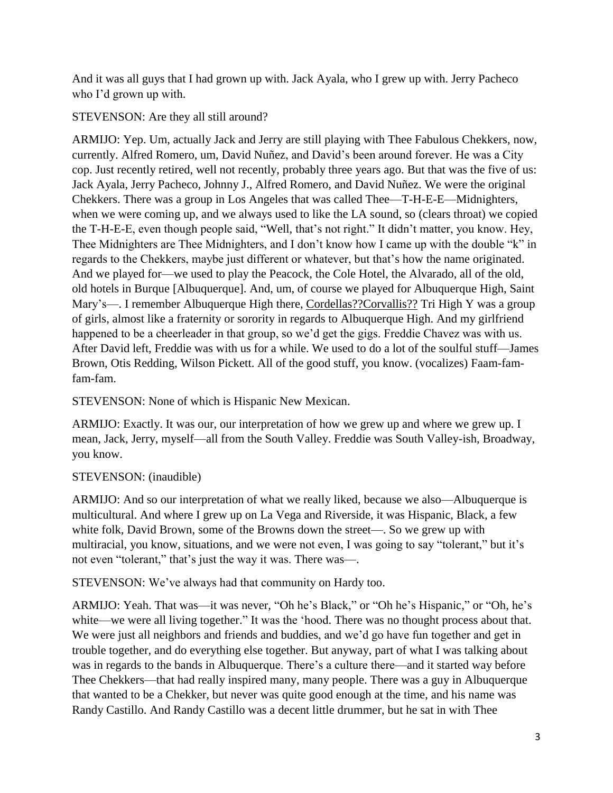And it was all guys that I had grown up with. Jack Ayala, who I grew up with. Jerry Pacheco who I'd grown up with.

STEVENSON: Are they all still around?

ARMIJO: Yep. Um, actually Jack and Jerry are still playing with Thee Fabulous Chekkers, now, currently. Alfred Romero, um, David Nuñez, and David's been around forever. He was a City cop. Just recently retired, well not recently, probably three years ago. But that was the five of us: Jack Ayala, Jerry Pacheco, Johnny J., Alfred Romero, and David Nuñez. We were the original Chekkers. There was a group in Los Angeles that was called Thee—T-H-E-E—Midnighters, when we were coming up, and we always used to like the LA sound, so (clears throat) we copied the T-H-E-E, even though people said, "Well, that's not right." It didn't matter, you know. Hey, Thee Midnighters are Thee Midnighters, and I don't know how I came up with the double "k" in regards to the Chekkers, maybe just different or whatever, but that's how the name originated. And we played for—we used to play the Peacock, the Cole Hotel, the Alvarado, all of the old, old hotels in Burque [Albuquerque]. And, um, of course we played for Albuquerque High, Saint Mary's—. I remember Albuquerque High there, Cordellas??Corvallis?? Tri High Y was a group of girls, almost like a fraternity or sorority in regards to Albuquerque High. And my girlfriend happened to be a cheerleader in that group, so we'd get the gigs. Freddie Chavez was with us. After David left, Freddie was with us for a while. We used to do a lot of the soulful stuff—James Brown, Otis Redding, Wilson Pickett. All of the good stuff, you know. (vocalizes) Faam-famfam-fam.

STEVENSON: None of which is Hispanic New Mexican.

ARMIJO: Exactly. It was our, our interpretation of how we grew up and where we grew up. I mean, Jack, Jerry, myself—all from the South Valley. Freddie was South Valley-ish, Broadway, you know.

# STEVENSON: (inaudible)

ARMIJO: And so our interpretation of what we really liked, because we also—Albuquerque is multicultural. And where I grew up on La Vega and Riverside, it was Hispanic, Black, a few white folk, David Brown, some of the Browns down the street—. So we grew up with multiracial, you know, situations, and we were not even, I was going to say "tolerant," but it's not even "tolerant," that's just the way it was. There was—.

STEVENSON: We've always had that community on Hardy too.

ARMIJO: Yeah. That was—it was never, "Oh he's Black," or "Oh he's Hispanic," or "Oh, he's white—we were all living together." It was the 'hood. There was no thought process about that. We were just all neighbors and friends and buddies, and we'd go have fun together and get in trouble together, and do everything else together. But anyway, part of what I was talking about was in regards to the bands in Albuquerque. There's a culture there—and it started way before Thee Chekkers—that had really inspired many, many people. There was a guy in Albuquerque that wanted to be a Chekker, but never was quite good enough at the time, and his name was Randy Castillo. And Randy Castillo was a decent little drummer, but he sat in with Thee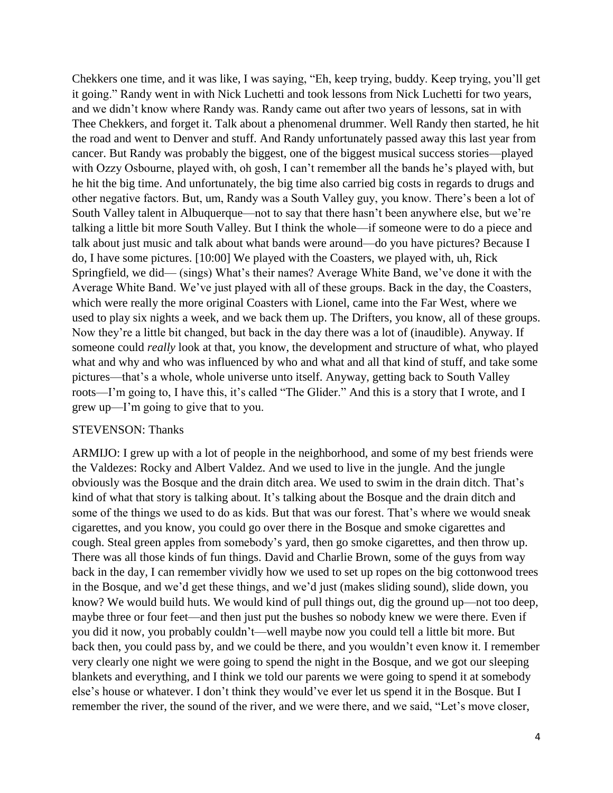Chekkers one time, and it was like, I was saying, "Eh, keep trying, buddy. Keep trying, you'll get it going." Randy went in with Nick Luchetti and took lessons from Nick Luchetti for two years, and we didn't know where Randy was. Randy came out after two years of lessons, sat in with Thee Chekkers, and forget it. Talk about a phenomenal drummer. Well Randy then started, he hit the road and went to Denver and stuff. And Randy unfortunately passed away this last year from cancer. But Randy was probably the biggest, one of the biggest musical success stories—played with Ozzy Osbourne, played with, oh gosh, I can't remember all the bands he's played with, but he hit the big time. And unfortunately, the big time also carried big costs in regards to drugs and other negative factors. But, um, Randy was a South Valley guy, you know. There's been a lot of South Valley talent in Albuquerque—not to say that there hasn't been anywhere else, but we're talking a little bit more South Valley. But I think the whole—if someone were to do a piece and talk about just music and talk about what bands were around—do you have pictures? Because I do, I have some pictures. [10:00] We played with the Coasters, we played with, uh, Rick Springfield, we did— (sings) What's their names? Average White Band, we've done it with the Average White Band. We've just played with all of these groups. Back in the day, the Coasters, which were really the more original Coasters with Lionel, came into the Far West, where we used to play six nights a week, and we back them up. The Drifters, you know, all of these groups. Now they're a little bit changed, but back in the day there was a lot of (inaudible). Anyway. If someone could *really* look at that, you know, the development and structure of what, who played what and why and who was influenced by who and what and all that kind of stuff, and take some pictures—that's a whole, whole universe unto itself. Anyway, getting back to South Valley roots—I'm going to, I have this, it's called "The Glider." And this is a story that I wrote, and I grew up—I'm going to give that to you.

#### STEVENSON: Thanks

ARMIJO: I grew up with a lot of people in the neighborhood, and some of my best friends were the Valdezes: Rocky and Albert Valdez. And we used to live in the jungle. And the jungle obviously was the Bosque and the drain ditch area. We used to swim in the drain ditch. That's kind of what that story is talking about. It's talking about the Bosque and the drain ditch and some of the things we used to do as kids. But that was our forest. That's where we would sneak cigarettes, and you know, you could go over there in the Bosque and smoke cigarettes and cough. Steal green apples from somebody's yard, then go smoke cigarettes, and then throw up. There was all those kinds of fun things. David and Charlie Brown, some of the guys from way back in the day, I can remember vividly how we used to set up ropes on the big cottonwood trees in the Bosque, and we'd get these things, and we'd just (makes sliding sound), slide down, you know? We would build huts. We would kind of pull things out, dig the ground up—not too deep, maybe three or four feet—and then just put the bushes so nobody knew we were there. Even if you did it now, you probably couldn't—well maybe now you could tell a little bit more. But back then, you could pass by, and we could be there, and you wouldn't even know it. I remember very clearly one night we were going to spend the night in the Bosque, and we got our sleeping blankets and everything, and I think we told our parents we were going to spend it at somebody else's house or whatever. I don't think they would've ever let us spend it in the Bosque. But I remember the river, the sound of the river, and we were there, and we said, "Let's move closer,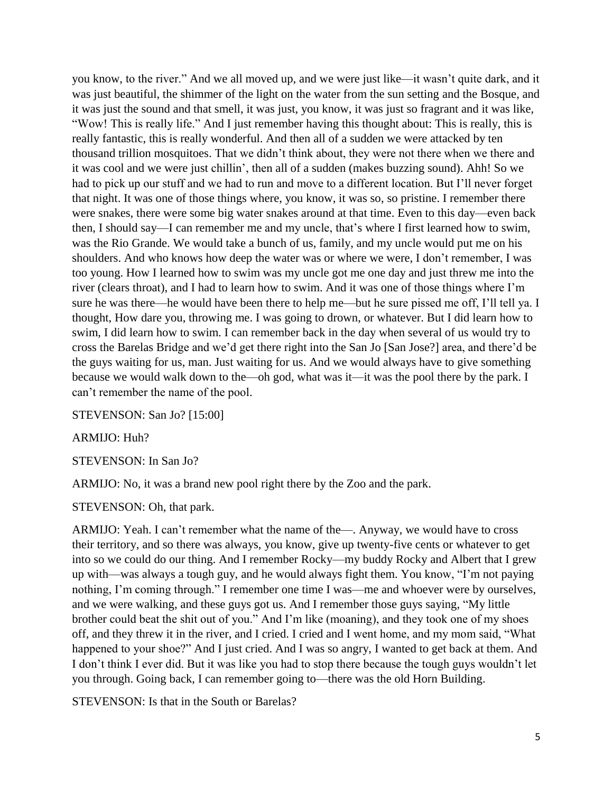you know, to the river." And we all moved up, and we were just like—it wasn't quite dark, and it was just beautiful, the shimmer of the light on the water from the sun setting and the Bosque, and it was just the sound and that smell, it was just, you know, it was just so fragrant and it was like, "Wow! This is really life." And I just remember having this thought about: This is really, this is really fantastic, this is really wonderful. And then all of a sudden we were attacked by ten thousand trillion mosquitoes. That we didn't think about, they were not there when we there and it was cool and we were just chillin', then all of a sudden (makes buzzing sound). Ahh! So we had to pick up our stuff and we had to run and move to a different location. But I'll never forget that night. It was one of those things where, you know, it was so, so pristine. I remember there were snakes, there were some big water snakes around at that time. Even to this day—even back then, I should say—I can remember me and my uncle, that's where I first learned how to swim, was the Rio Grande. We would take a bunch of us, family, and my uncle would put me on his shoulders. And who knows how deep the water was or where we were, I don't remember, I was too young. How I learned how to swim was my uncle got me one day and just threw me into the river (clears throat), and I had to learn how to swim. And it was one of those things where I'm sure he was there—he would have been there to help me—but he sure pissed me off, I'll tell ya. I thought, How dare you, throwing me. I was going to drown, or whatever. But I did learn how to swim, I did learn how to swim. I can remember back in the day when several of us would try to cross the Barelas Bridge and we'd get there right into the San Jo [San Jose?] area, and there'd be the guys waiting for us, man. Just waiting for us. And we would always have to give something because we would walk down to the—oh god, what was it—it was the pool there by the park. I can't remember the name of the pool.

STEVENSON: San Jo? [15:00]

ARMIJO: Huh?

STEVENSON: In San Jo?

ARMIJO: No, it was a brand new pool right there by the Zoo and the park.

STEVENSON: Oh, that park.

ARMIJO: Yeah. I can't remember what the name of the—. Anyway, we would have to cross their territory, and so there was always, you know, give up twenty-five cents or whatever to get into so we could do our thing. And I remember Rocky—my buddy Rocky and Albert that I grew up with—was always a tough guy, and he would always fight them. You know, "I'm not paying nothing, I'm coming through." I remember one time I was—me and whoever were by ourselves, and we were walking, and these guys got us. And I remember those guys saying, "My little brother could beat the shit out of you." And I'm like (moaning), and they took one of my shoes off, and they threw it in the river, and I cried. I cried and I went home, and my mom said, "What happened to your shoe?" And I just cried. And I was so angry, I wanted to get back at them. And I don't think I ever did. But it was like you had to stop there because the tough guys wouldn't let you through. Going back, I can remember going to—there was the old Horn Building.

STEVENSON: Is that in the South or Barelas?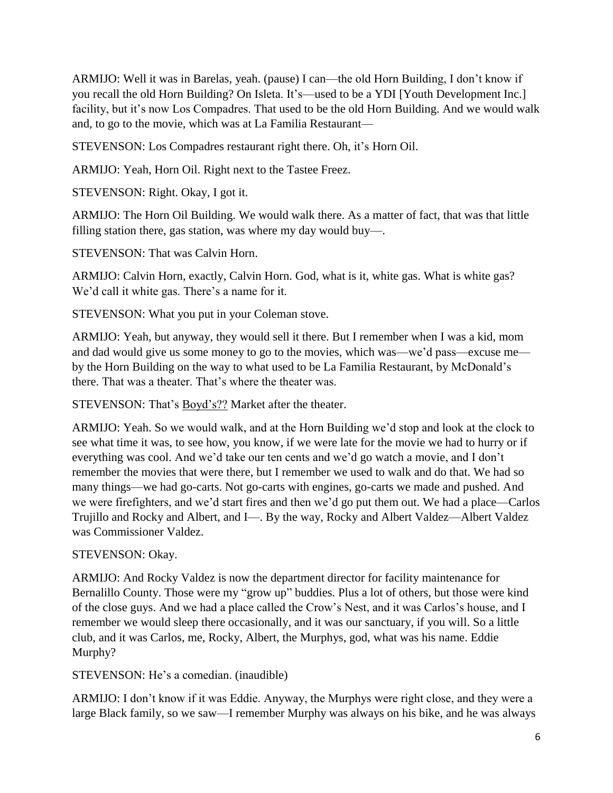ARMIJO: Well it was in Barelas, yeah. (pause) I can—the old Horn Building, I don't know if you recall the old Horn Building? On Isleta. It's—used to be a YDI [Youth Development Inc.] facility, but it's now Los Compadres. That used to be the old Horn Building. And we would walk and, to go to the movie, which was at La Familia Restaurant—

STEVENSON: Los Compadres restaurant right there. Oh, it's Horn Oil.

ARMIJO: Yeah, Horn Oil. Right next to the Tastee Freez.

STEVENSON: Right. Okay, I got it.

ARMIJO: The Horn Oil Building. We would walk there. As a matter of fact, that was that little filling station there, gas station, was where my day would buy—.

STEVENSON: That was Calvin Horn.

ARMIJO: Calvin Horn, exactly, Calvin Horn. God, what is it, white gas. What is white gas? We'd call it white gas. There's a name for it.

STEVENSON: What you put in your Coleman stove.

ARMIJO: Yeah, but anyway, they would sell it there. But I remember when I was a kid, mom and dad would give us some money to go to the movies, which was—we'd pass—excuse me by the Horn Building on the way to what used to be La Familia Restaurant, by McDonald's there. That was a theater. That's where the theater was.

STEVENSON: That's Boyd's?? Market after the theater.

ARMIJO: Yeah. So we would walk, and at the Horn Building we'd stop and look at the clock to see what time it was, to see how, you know, if we were late for the movie we had to hurry or if everything was cool. And we'd take our ten cents and we'd go watch a movie, and I don't remember the movies that were there, but I remember we used to walk and do that. We had so many things—we had go-carts. Not go-carts with engines, go-carts we made and pushed. And we were firefighters, and we'd start fires and then we'd go put them out. We had a place—Carlos Trujillo and Rocky and Albert, and I—. By the way, Rocky and Albert Valdez—Albert Valdez was Commissioner Valdez.

### STEVENSON: Okay.

ARMIJO: And Rocky Valdez is now the department director for facility maintenance for Bernalillo County. Those were my "grow up" buddies. Plus a lot of others, but those were kind of the close guys. And we had a place called the Crow's Nest, and it was Carlos's house, and I remember we would sleep there occasionally, and it was our sanctuary, if you will. So a little club, and it was Carlos, me, Rocky, Albert, the Murphys, god, what was his name. Eddie Murphy?

STEVENSON: He's a comedian. (inaudible)

ARMIJO: I don't know if it was Eddie. Anyway, the Murphys were right close, and they were a large Black family, so we saw—I remember Murphy was always on his bike, and he was always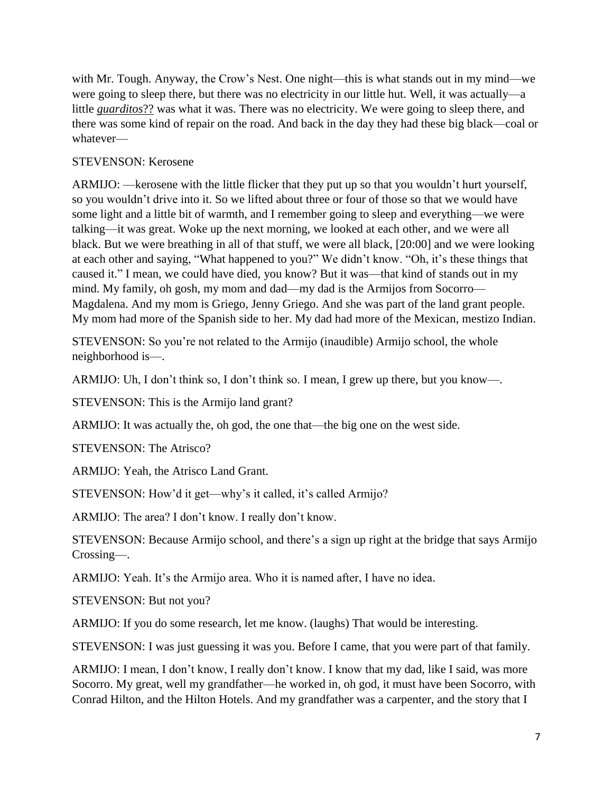with Mr. Tough. Anyway, the Crow's Nest. One night—this is what stands out in my mind—we were going to sleep there, but there was no electricity in our little hut. Well, it was actually—a little *guarditos*?? was what it was. There was no electricity. We were going to sleep there, and there was some kind of repair on the road. And back in the day they had these big black—coal or whatever—

## STEVENSON: Kerosene

ARMIJO: —kerosene with the little flicker that they put up so that you wouldn't hurt yourself, so you wouldn't drive into it. So we lifted about three or four of those so that we would have some light and a little bit of warmth, and I remember going to sleep and everything—we were talking—it was great. Woke up the next morning, we looked at each other, and we were all black. But we were breathing in all of that stuff, we were all black, [20:00] and we were looking at each other and saying, "What happened to you?" We didn't know. "Oh, it's these things that caused it." I mean, we could have died, you know? But it was—that kind of stands out in my mind. My family, oh gosh, my mom and dad—my dad is the Armijos from Socorro— Magdalena. And my mom is Griego, Jenny Griego. And she was part of the land grant people. My mom had more of the Spanish side to her. My dad had more of the Mexican, mestizo Indian.

STEVENSON: So you're not related to the Armijo (inaudible) Armijo school, the whole neighborhood is—.

ARMIJO: Uh, I don't think so, I don't think so. I mean, I grew up there, but you know—.

STEVENSON: This is the Armijo land grant?

ARMIJO: It was actually the, oh god, the one that—the big one on the west side.

STEVENSON: The Atrisco?

ARMIJO: Yeah, the Atrisco Land Grant.

STEVENSON: How'd it get—why's it called, it's called Armijo?

ARMIJO: The area? I don't know. I really don't know.

STEVENSON: Because Armijo school, and there's a sign up right at the bridge that says Armijo Crossing—.

ARMIJO: Yeah. It's the Armijo area. Who it is named after, I have no idea.

STEVENSON: But not you?

ARMIJO: If you do some research, let me know. (laughs) That would be interesting.

STEVENSON: I was just guessing it was you. Before I came, that you were part of that family.

ARMIJO: I mean, I don't know, I really don't know. I know that my dad, like I said, was more Socorro. My great, well my grandfather—he worked in, oh god, it must have been Socorro, with Conrad Hilton, and the Hilton Hotels. And my grandfather was a carpenter, and the story that I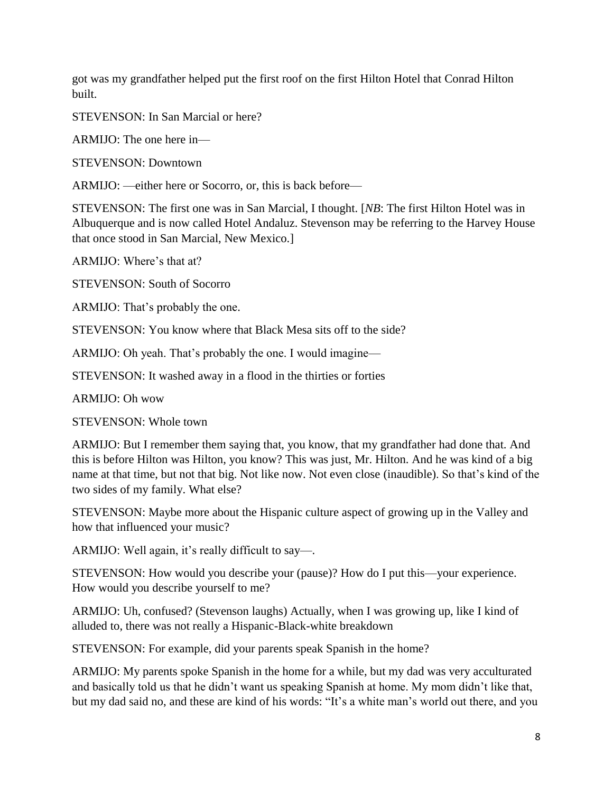got was my grandfather helped put the first roof on the first Hilton Hotel that Conrad Hilton built.

STEVENSON: In San Marcial or here?

ARMIJO: The one here in—

STEVENSON: Downtown

ARMIJO: —either here or Socorro, or, this is back before—

STEVENSON: The first one was in San Marcial, I thought. [*NB*: The first Hilton Hotel was in Albuquerque and is now called Hotel Andaluz. Stevenson may be referring to the Harvey House that once stood in San Marcial, New Mexico.]

ARMIJO: Where's that at?

STEVENSON: South of Socorro

ARMIJO: That's probably the one.

STEVENSON: You know where that Black Mesa sits off to the side?

ARMIJO: Oh yeah. That's probably the one. I would imagine—

STEVENSON: It washed away in a flood in the thirties or forties

ARMIJO: Oh wow

STEVENSON: Whole town

ARMIJO: But I remember them saying that, you know, that my grandfather had done that. And this is before Hilton was Hilton, you know? This was just, Mr. Hilton. And he was kind of a big name at that time, but not that big. Not like now. Not even close (inaudible). So that's kind of the two sides of my family. What else?

STEVENSON: Maybe more about the Hispanic culture aspect of growing up in the Valley and how that influenced your music?

ARMIJO: Well again, it's really difficult to say—.

STEVENSON: How would you describe your (pause)? How do I put this—your experience. How would you describe yourself to me?

ARMIJO: Uh, confused? (Stevenson laughs) Actually, when I was growing up, like I kind of alluded to, there was not really a Hispanic-Black-white breakdown

STEVENSON: For example, did your parents speak Spanish in the home?

ARMIJO: My parents spoke Spanish in the home for a while, but my dad was very acculturated and basically told us that he didn't want us speaking Spanish at home. My mom didn't like that, but my dad said no, and these are kind of his words: "It's a white man's world out there, and you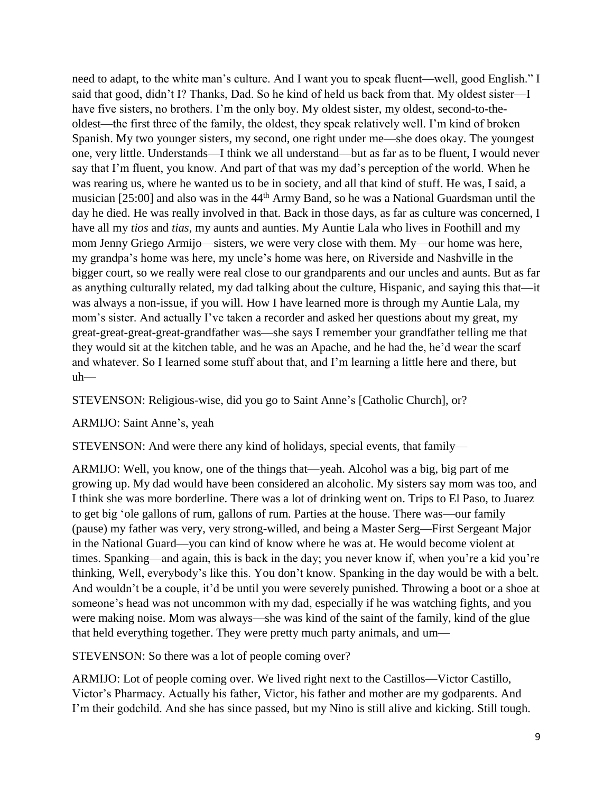need to adapt, to the white man's culture. And I want you to speak fluent—well, good English." I said that good, didn't I? Thanks, Dad. So he kind of held us back from that. My oldest sister—I have five sisters, no brothers. I'm the only boy. My oldest sister, my oldest, second-to-theoldest—the first three of the family, the oldest, they speak relatively well. I'm kind of broken Spanish. My two younger sisters, my second, one right under me—she does okay. The youngest one, very little. Understands—I think we all understand—but as far as to be fluent, I would never say that I'm fluent, you know. And part of that was my dad's perception of the world. When he was rearing us, where he wanted us to be in society, and all that kind of stuff. He was, I said, a musician [25:00] and also was in the 44th Army Band, so he was a National Guardsman until the day he died. He was really involved in that. Back in those days, as far as culture was concerned, I have all my *tios* and *tias*, my aunts and aunties. My Auntie Lala who lives in Foothill and my mom Jenny Griego Armijo—sisters, we were very close with them. My—our home was here, my grandpa's home was here, my uncle's home was here, on Riverside and Nashville in the bigger court, so we really were real close to our grandparents and our uncles and aunts. But as far as anything culturally related, my dad talking about the culture, Hispanic, and saying this that—it was always a non-issue, if you will. How I have learned more is through my Auntie Lala, my mom's sister. And actually I've taken a recorder and asked her questions about my great, my great-great-great-great-grandfather was—she says I remember your grandfather telling me that they would sit at the kitchen table, and he was an Apache, and he had the, he'd wear the scarf and whatever. So I learned some stuff about that, and I'm learning a little here and there, but uh—

STEVENSON: Religious-wise, did you go to Saint Anne's [Catholic Church], or?

### ARMIJO: Saint Anne's, yeah

STEVENSON: And were there any kind of holidays, special events, that family—

ARMIJO: Well, you know, one of the things that—yeah. Alcohol was a big, big part of me growing up. My dad would have been considered an alcoholic. My sisters say mom was too, and I think she was more borderline. There was a lot of drinking went on. Trips to El Paso, to Juarez to get big 'ole gallons of rum, gallons of rum. Parties at the house. There was—our family (pause) my father was very, very strong-willed, and being a Master Serg—First Sergeant Major in the National Guard—you can kind of know where he was at. He would become violent at times. Spanking—and again, this is back in the day; you never know if, when you're a kid you're thinking, Well, everybody's like this. You don't know. Spanking in the day would be with a belt. And wouldn't be a couple, it'd be until you were severely punished. Throwing a boot or a shoe at someone's head was not uncommon with my dad, especially if he was watching fights, and you were making noise. Mom was always—she was kind of the saint of the family, kind of the glue that held everything together. They were pretty much party animals, and um—

STEVENSON: So there was a lot of people coming over?

ARMIJO: Lot of people coming over. We lived right next to the Castillos—Victor Castillo, Victor's Pharmacy. Actually his father, Victor, his father and mother are my godparents. And I'm their godchild. And she has since passed, but my Nino is still alive and kicking. Still tough.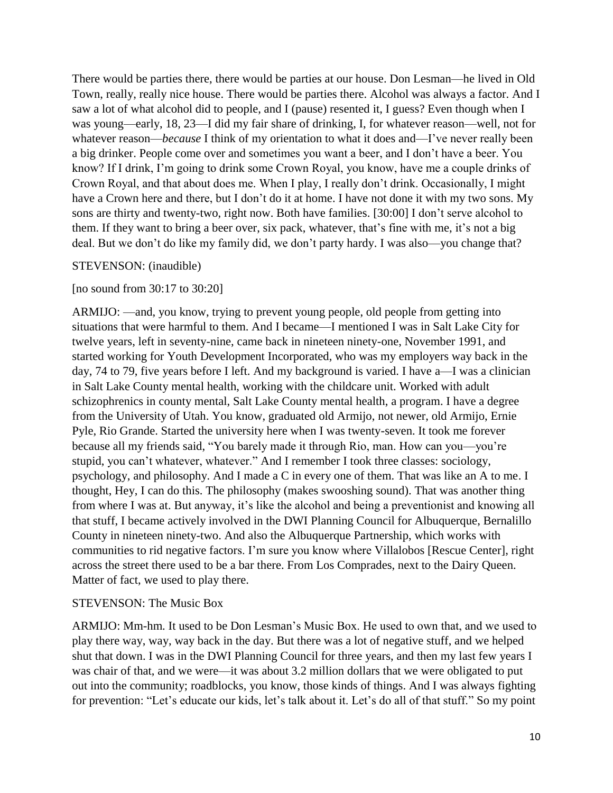There would be parties there, there would be parties at our house. Don Lesman—he lived in Old Town, really, really nice house. There would be parties there. Alcohol was always a factor. And I saw a lot of what alcohol did to people, and I (pause) resented it, I guess? Even though when I was young—early, 18, 23—I did my fair share of drinking, I, for whatever reason—well, not for whatever reason—*because* I think of my orientation to what it does and—I've never really been a big drinker. People come over and sometimes you want a beer, and I don't have a beer. You know? If I drink, I'm going to drink some Crown Royal, you know, have me a couple drinks of Crown Royal, and that about does me. When I play, I really don't drink. Occasionally, I might have a Crown here and there, but I don't do it at home. I have not done it with my two sons. My sons are thirty and twenty-two, right now. Both have families. [30:00] I don't serve alcohol to them. If they want to bring a beer over, six pack, whatever, that's fine with me, it's not a big deal. But we don't do like my family did, we don't party hardy. I was also—you change that?

#### STEVENSON: (inaudible)

#### [no sound from 30:17 to 30:20]

ARMIJO: —and, you know, trying to prevent young people, old people from getting into situations that were harmful to them. And I became—I mentioned I was in Salt Lake City for twelve years, left in seventy-nine, came back in nineteen ninety-one, November 1991, and started working for Youth Development Incorporated, who was my employers way back in the day, 74 to 79, five years before I left. And my background is varied. I have a—I was a clinician in Salt Lake County mental health, working with the childcare unit. Worked with adult schizophrenics in county mental, Salt Lake County mental health, a program. I have a degree from the University of Utah. You know, graduated old Armijo, not newer, old Armijo, Ernie Pyle, Rio Grande. Started the university here when I was twenty-seven. It took me forever because all my friends said, "You barely made it through Rio, man. How can you—you're stupid, you can't whatever, whatever." And I remember I took three classes: sociology, psychology, and philosophy. And I made a C in every one of them. That was like an A to me. I thought, Hey, I can do this. The philosophy (makes swooshing sound). That was another thing from where I was at. But anyway, it's like the alcohol and being a preventionist and knowing all that stuff, I became actively involved in the DWI Planning Council for Albuquerque, Bernalillo County in nineteen ninety-two. And also the Albuquerque Partnership, which works with communities to rid negative factors. I'm sure you know where Villalobos [Rescue Center], right across the street there used to be a bar there. From Los Comprades, next to the Dairy Queen. Matter of fact, we used to play there.

#### STEVENSON: The Music Box

ARMIJO: Mm-hm. It used to be Don Lesman's Music Box. He used to own that, and we used to play there way, way, way back in the day. But there was a lot of negative stuff, and we helped shut that down. I was in the DWI Planning Council for three years, and then my last few years I was chair of that, and we were—it was about 3.2 million dollars that we were obligated to put out into the community; roadblocks, you know, those kinds of things. And I was always fighting for prevention: "Let's educate our kids, let's talk about it. Let's do all of that stuff." So my point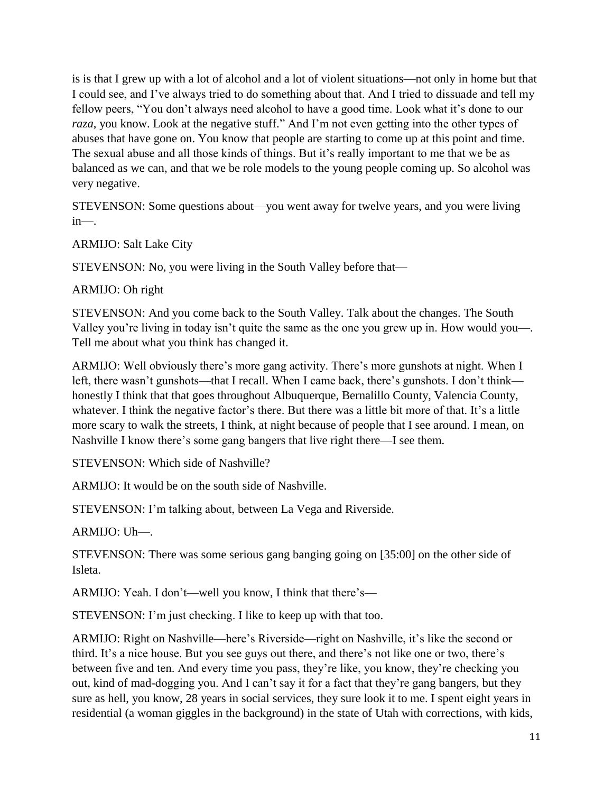is is that I grew up with a lot of alcohol and a lot of violent situations—not only in home but that I could see, and I've always tried to do something about that. And I tried to dissuade and tell my fellow peers, "You don't always need alcohol to have a good time. Look what it's done to our *raza*, you know. Look at the negative stuff." And I'm not even getting into the other types of abuses that have gone on. You know that people are starting to come up at this point and time. The sexual abuse and all those kinds of things. But it's really important to me that we be as balanced as we can, and that we be role models to the young people coming up. So alcohol was very negative.

STEVENSON: Some questions about—you went away for twelve years, and you were living in—.

ARMIJO: Salt Lake City

STEVENSON: No, you were living in the South Valley before that—

## ARMIJO: Oh right

STEVENSON: And you come back to the South Valley. Talk about the changes. The South Valley you're living in today isn't quite the same as the one you grew up in. How would you—. Tell me about what you think has changed it.

ARMIJO: Well obviously there's more gang activity. There's more gunshots at night. When I left, there wasn't gunshots—that I recall. When I came back, there's gunshots. I don't think honestly I think that that goes throughout Albuquerque, Bernalillo County, Valencia County, whatever. I think the negative factor's there. But there was a little bit more of that. It's a little more scary to walk the streets, I think, at night because of people that I see around. I mean, on Nashville I know there's some gang bangers that live right there—I see them.

STEVENSON: Which side of Nashville?

ARMIJO: It would be on the south side of Nashville.

STEVENSON: I'm talking about, between La Vega and Riverside.

ARMIJO: Uh—.

STEVENSON: There was some serious gang banging going on [35:00] on the other side of Isleta.

ARMIJO: Yeah. I don't—well you know, I think that there's—

STEVENSON: I'm just checking. I like to keep up with that too.

ARMIJO: Right on Nashville—here's Riverside—right on Nashville, it's like the second or third. It's a nice house. But you see guys out there, and there's not like one or two, there's between five and ten. And every time you pass, they're like, you know, they're checking you out, kind of mad-dogging you. And I can't say it for a fact that they're gang bangers, but they sure as hell, you know, 28 years in social services, they sure look it to me. I spent eight years in residential (a woman giggles in the background) in the state of Utah with corrections, with kids,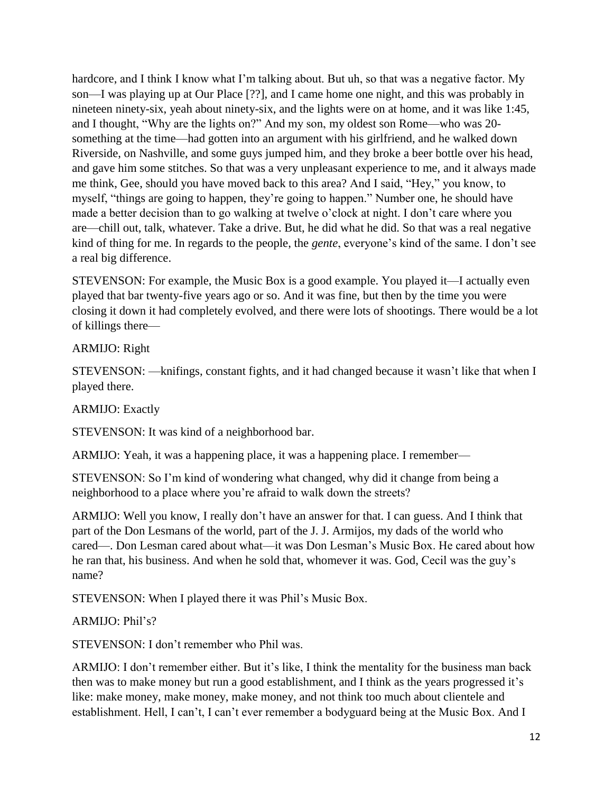hardcore, and I think I know what I'm talking about. But uh, so that was a negative factor. My son—I was playing up at Our Place [??], and I came home one night, and this was probably in nineteen ninety-six, yeah about ninety-six, and the lights were on at home, and it was like 1:45, and I thought, "Why are the lights on?" And my son, my oldest son Rome—who was 20 something at the time—had gotten into an argument with his girlfriend, and he walked down Riverside, on Nashville, and some guys jumped him, and they broke a beer bottle over his head, and gave him some stitches. So that was a very unpleasant experience to me, and it always made me think, Gee, should you have moved back to this area? And I said, "Hey," you know, to myself, "things are going to happen, they're going to happen." Number one, he should have made a better decision than to go walking at twelve o'clock at night. I don't care where you are—chill out, talk, whatever. Take a drive. But, he did what he did. So that was a real negative kind of thing for me. In regards to the people, the *gente*, everyone's kind of the same. I don't see a real big difference.

STEVENSON: For example, the Music Box is a good example. You played it—I actually even played that bar twenty-five years ago or so. And it was fine, but then by the time you were closing it down it had completely evolved, and there were lots of shootings. There would be a lot of killings there—

## ARMIJO: Right

STEVENSON: —knifings, constant fights, and it had changed because it wasn't like that when I played there.

### ARMIJO: Exactly

STEVENSON: It was kind of a neighborhood bar.

ARMIJO: Yeah, it was a happening place, it was a happening place. I remember—

STEVENSON: So I'm kind of wondering what changed, why did it change from being a neighborhood to a place where you're afraid to walk down the streets?

ARMIJO: Well you know, I really don't have an answer for that. I can guess. And I think that part of the Don Lesmans of the world, part of the J. J. Armijos, my dads of the world who cared—. Don Lesman cared about what—it was Don Lesman's Music Box. He cared about how he ran that, his business. And when he sold that, whomever it was. God, Cecil was the guy's name?

STEVENSON: When I played there it was Phil's Music Box.

## ARMIJO: Phil's?

STEVENSON: I don't remember who Phil was.

ARMIJO: I don't remember either. But it's like, I think the mentality for the business man back then was to make money but run a good establishment, and I think as the years progressed it's like: make money, make money, make money, and not think too much about clientele and establishment. Hell, I can't, I can't ever remember a bodyguard being at the Music Box. And I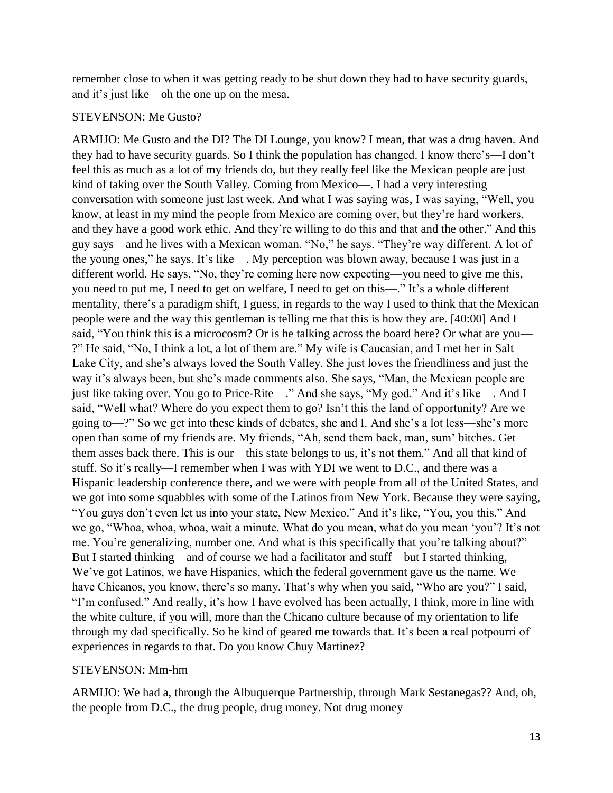remember close to when it was getting ready to be shut down they had to have security guards, and it's just like—oh the one up on the mesa.

#### STEVENSON: Me Gusto?

ARMIJO: Me Gusto and the DI? The DI Lounge, you know? I mean, that was a drug haven. And they had to have security guards. So I think the population has changed. I know there's—I don't feel this as much as a lot of my friends do, but they really feel like the Mexican people are just kind of taking over the South Valley. Coming from Mexico—. I had a very interesting conversation with someone just last week. And what I was saying was, I was saying, "Well, you know, at least in my mind the people from Mexico are coming over, but they're hard workers, and they have a good work ethic. And they're willing to do this and that and the other." And this guy says—and he lives with a Mexican woman. "No," he says. "They're way different. A lot of the young ones," he says. It's like—. My perception was blown away, because I was just in a different world. He says, "No, they're coming here now expecting—you need to give me this, you need to put me, I need to get on welfare, I need to get on this—." It's a whole different mentality, there's a paradigm shift, I guess, in regards to the way I used to think that the Mexican people were and the way this gentleman is telling me that this is how they are. [40:00] And I said, "You think this is a microcosm? Or is he talking across the board here? Or what are you— ?" He said, "No, I think a lot, a lot of them are." My wife is Caucasian, and I met her in Salt Lake City, and she's always loved the South Valley. She just loves the friendliness and just the way it's always been, but she's made comments also. She says, "Man, the Mexican people are just like taking over. You go to Price-Rite—." And she says, "My god." And it's like—. And I said, "Well what? Where do you expect them to go? Isn't this the land of opportunity? Are we going to—?" So we get into these kinds of debates, she and I. And she's a lot less—she's more open than some of my friends are. My friends, "Ah, send them back, man, sum' bitches. Get them asses back there. This is our—this state belongs to us, it's not them." And all that kind of stuff. So it's really—I remember when I was with YDI we went to D.C., and there was a Hispanic leadership conference there, and we were with people from all of the United States, and we got into some squabbles with some of the Latinos from New York. Because they were saying, "You guys don't even let us into your state, New Mexico." And it's like, "You, you this." And we go, "Whoa, whoa, whoa, wait a minute. What do you mean, what do you mean 'you'? It's not me. You're generalizing, number one. And what is this specifically that you're talking about?" But I started thinking—and of course we had a facilitator and stuff—but I started thinking, We've got Latinos, we have Hispanics, which the federal government gave us the name. We have Chicanos, you know, there's so many. That's why when you said, "Who are you?" I said, "I'm confused." And really, it's how I have evolved has been actually, I think, more in line with the white culture, if you will, more than the Chicano culture because of my orientation to life through my dad specifically. So he kind of geared me towards that. It's been a real potpourri of experiences in regards to that. Do you know Chuy Martinez?

#### STEVENSON: Mm-hm

ARMIJO: We had a, through the Albuquerque Partnership, through Mark Sestanegas?? And, oh, the people from D.C., the drug people, drug money. Not drug money—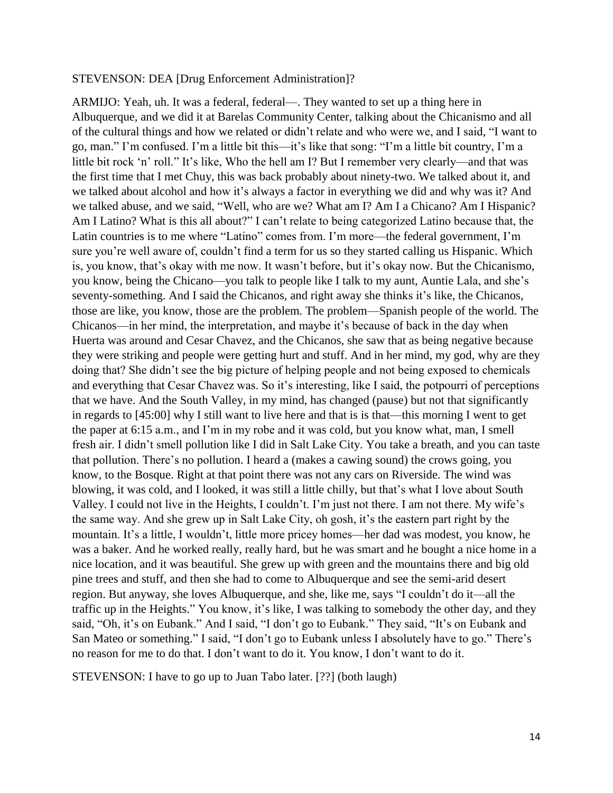#### STEVENSON: DEA [Drug Enforcement Administration]?

ARMIJO: Yeah, uh. It was a federal, federal—. They wanted to set up a thing here in Albuquerque, and we did it at Barelas Community Center, talking about the Chicanismo and all of the cultural things and how we related or didn't relate and who were we, and I said, "I want to go, man." I'm confused. I'm a little bit this—it's like that song: "I'm a little bit country, I'm a little bit rock 'n' roll." It's like, Who the hell am I? But I remember very clearly—and that was the first time that I met Chuy, this was back probably about ninety-two. We talked about it, and we talked about alcohol and how it's always a factor in everything we did and why was it? And we talked abuse, and we said, "Well, who are we? What am I? Am I a Chicano? Am I Hispanic? Am I Latino? What is this all about?" I can't relate to being categorized Latino because that, the Latin countries is to me where "Latino" comes from. I'm more—the federal government, I'm sure you're well aware of, couldn't find a term for us so they started calling us Hispanic. Which is, you know, that's okay with me now. It wasn't before, but it's okay now. But the Chicanismo, you know, being the Chicano—you talk to people like I talk to my aunt, Auntie Lala, and she's seventy-something. And I said the Chicanos, and right away she thinks it's like, the Chicanos, those are like, you know, those are the problem. The problem—Spanish people of the world. The Chicanos—in her mind, the interpretation, and maybe it's because of back in the day when Huerta was around and Cesar Chavez, and the Chicanos, she saw that as being negative because they were striking and people were getting hurt and stuff. And in her mind, my god, why are they doing that? She didn't see the big picture of helping people and not being exposed to chemicals and everything that Cesar Chavez was. So it's interesting, like I said, the potpourri of perceptions that we have. And the South Valley, in my mind, has changed (pause) but not that significantly in regards to [45:00] why I still want to live here and that is is that—this morning I went to get the paper at 6:15 a.m., and I'm in my robe and it was cold, but you know what, man, I smell fresh air. I didn't smell pollution like I did in Salt Lake City. You take a breath, and you can taste that pollution. There's no pollution. I heard a (makes a cawing sound) the crows going, you know, to the Bosque. Right at that point there was not any cars on Riverside. The wind was blowing, it was cold, and I looked, it was still a little chilly, but that's what I love about South Valley. I could not live in the Heights, I couldn't. I'm just not there. I am not there. My wife's the same way. And she grew up in Salt Lake City, oh gosh, it's the eastern part right by the mountain. It's a little, I wouldn't, little more pricey homes—her dad was modest, you know, he was a baker. And he worked really, really hard, but he was smart and he bought a nice home in a nice location, and it was beautiful. She grew up with green and the mountains there and big old pine trees and stuff, and then she had to come to Albuquerque and see the semi-arid desert region. But anyway, she loves Albuquerque, and she, like me, says "I couldn't do it—all the traffic up in the Heights." You know, it's like, I was talking to somebody the other day, and they said, "Oh, it's on Eubank." And I said, "I don't go to Eubank." They said, "It's on Eubank and San Mateo or something." I said, "I don't go to Eubank unless I absolutely have to go." There's no reason for me to do that. I don't want to do it. You know, I don't want to do it.

STEVENSON: I have to go up to Juan Tabo later. [??] (both laugh)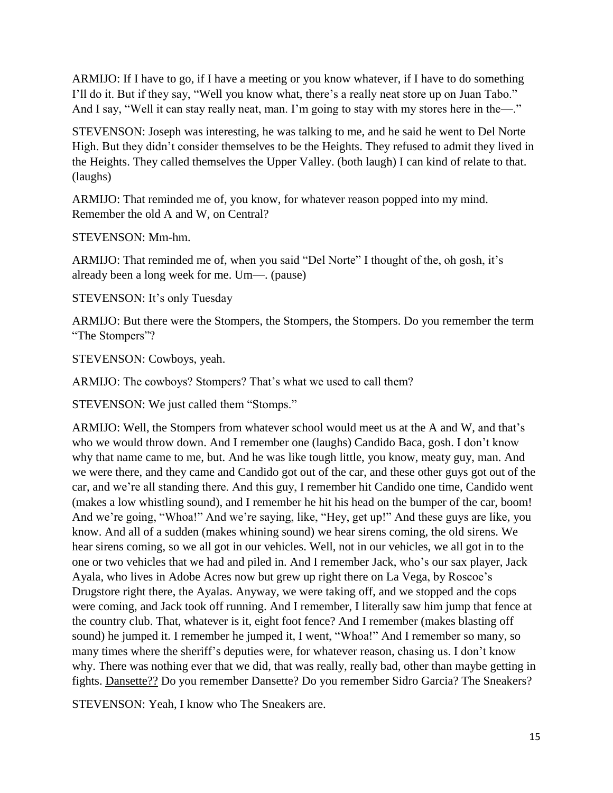ARMIJO: If I have to go, if I have a meeting or you know whatever, if I have to do something I'll do it. But if they say, "Well you know what, there's a really neat store up on Juan Tabo." And I say, "Well it can stay really neat, man. I'm going to stay with my stores here in the—."

STEVENSON: Joseph was interesting, he was talking to me, and he said he went to Del Norte High. But they didn't consider themselves to be the Heights. They refused to admit they lived in the Heights. They called themselves the Upper Valley. (both laugh) I can kind of relate to that. (laughs)

ARMIJO: That reminded me of, you know, for whatever reason popped into my mind. Remember the old A and W, on Central?

STEVENSON: Mm-hm.

ARMIJO: That reminded me of, when you said "Del Norte" I thought of the, oh gosh, it's already been a long week for me. Um—. (pause)

STEVENSON: It's only Tuesday

ARMIJO: But there were the Stompers, the Stompers, the Stompers. Do you remember the term "The Stompers"?

STEVENSON: Cowboys, yeah.

ARMIJO: The cowboys? Stompers? That's what we used to call them?

STEVENSON: We just called them "Stomps."

ARMIJO: Well, the Stompers from whatever school would meet us at the A and W, and that's who we would throw down. And I remember one (laughs) Candido Baca, gosh. I don't know why that name came to me, but. And he was like tough little, you know, meaty guy, man. And we were there, and they came and Candido got out of the car, and these other guys got out of the car, and we're all standing there. And this guy, I remember hit Candido one time, Candido went (makes a low whistling sound), and I remember he hit his head on the bumper of the car, boom! And we're going, "Whoa!" And we're saying, like, "Hey, get up!" And these guys are like, you know. And all of a sudden (makes whining sound) we hear sirens coming, the old sirens. We hear sirens coming, so we all got in our vehicles. Well, not in our vehicles, we all got in to the one or two vehicles that we had and piled in. And I remember Jack, who's our sax player, Jack Ayala, who lives in Adobe Acres now but grew up right there on La Vega, by Roscoe's Drugstore right there, the Ayalas. Anyway, we were taking off, and we stopped and the cops were coming, and Jack took off running. And I remember, I literally saw him jump that fence at the country club. That, whatever is it, eight foot fence? And I remember (makes blasting off sound) he jumped it. I remember he jumped it, I went, "Whoa!" And I remember so many, so many times where the sheriff's deputies were, for whatever reason, chasing us. I don't know why. There was nothing ever that we did, that was really, really bad, other than maybe getting in fights. Dansette?? Do you remember Dansette? Do you remember Sidro Garcia? The Sneakers?

STEVENSON: Yeah, I know who The Sneakers are.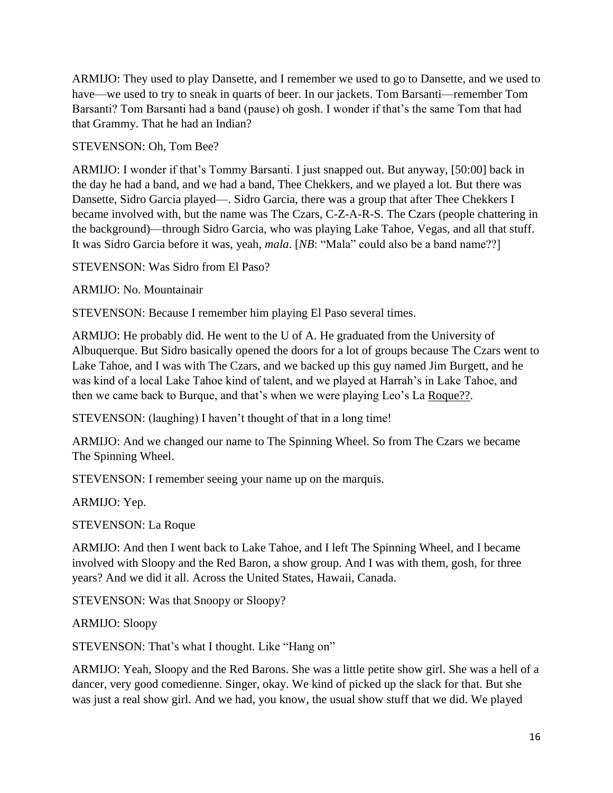ARMIJO: They used to play Dansette, and I remember we used to go to Dansette, and we used to have—we used to try to sneak in quarts of beer. In our jackets. Tom Barsanti—remember Tom Barsanti? Tom Barsanti had a band (pause) oh gosh. I wonder if that's the same Tom that had that Grammy. That he had an Indian?

STEVENSON: Oh, Tom Bee?

ARMIJO: I wonder if that's Tommy Barsanti. I just snapped out. But anyway, [50:00] back in the day he had a band, and we had a band, Thee Chekkers, and we played a lot. But there was Dansette, Sidro Garcia played—. Sidro Garcia, there was a group that after Thee Chekkers I became involved with, but the name was The Czars, C-Z-A-R-S. The Czars (people chattering in the background)—through Sidro Garcia, who was playing Lake Tahoe, Vegas, and all that stuff. It was Sidro Garcia before it was, yeah, *mala*. [*NB*: "Mala" could also be a band name??]

STEVENSON: Was Sidro from El Paso?

ARMIJO: No. Mountainair

STEVENSON: Because I remember him playing El Paso several times.

ARMIJO: He probably did. He went to the U of A. He graduated from the University of Albuquerque. But Sidro basically opened the doors for a lot of groups because The Czars went to Lake Tahoe, and I was with The Czars, and we backed up this guy named Jim Burgett, and he was kind of a local Lake Tahoe kind of talent, and we played at Harrah's in Lake Tahoe, and then we came back to Burque, and that's when we were playing Leo's La Roque??.

STEVENSON: (laughing) I haven't thought of that in a long time!

ARMIJO: And we changed our name to The Spinning Wheel. So from The Czars we became The Spinning Wheel.

STEVENSON: I remember seeing your name up on the marquis.

ARMIJO: Yep.

STEVENSON: La Roque

ARMIJO: And then I went back to Lake Tahoe, and I left The Spinning Wheel, and I became involved with Sloopy and the Red Baron, a show group. And I was with them, gosh, for three years? And we did it all. Across the United States, Hawaii, Canada.

STEVENSON: Was that Snoopy or Sloopy?

ARMIJO: Sloopy

STEVENSON: That's what I thought. Like "Hang on"

ARMIJO: Yeah, Sloopy and the Red Barons. She was a little petite show girl. She was a hell of a dancer, very good comedienne. Singer, okay. We kind of picked up the slack for that. But she was just a real show girl. And we had, you know, the usual show stuff that we did. We played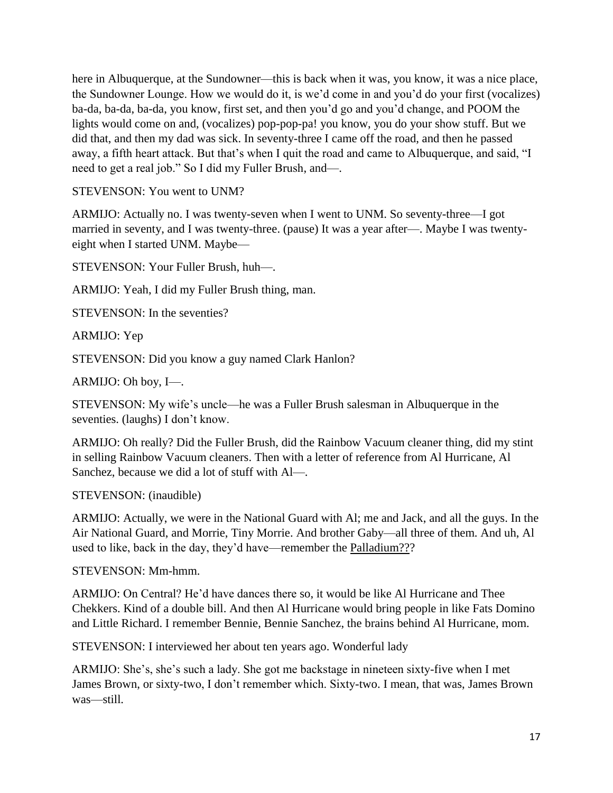here in Albuquerque, at the Sundowner—this is back when it was, you know, it was a nice place, the Sundowner Lounge. How we would do it, is we'd come in and you'd do your first (vocalizes) ba-da, ba-da, ba-da, you know, first set, and then you'd go and you'd change, and POOM the lights would come on and, (vocalizes) pop-pop-pa! you know, you do your show stuff. But we did that, and then my dad was sick. In seventy-three I came off the road, and then he passed away, a fifth heart attack. But that's when I quit the road and came to Albuquerque, and said, "I need to get a real job." So I did my Fuller Brush, and—.

STEVENSON: You went to UNM?

ARMIJO: Actually no. I was twenty-seven when I went to UNM. So seventy-three—I got married in seventy, and I was twenty-three. (pause) It was a year after—. Maybe I was twentyeight when I started UNM. Maybe—

STEVENSON: Your Fuller Brush, huh—.

ARMIJO: Yeah, I did my Fuller Brush thing, man.

STEVENSON: In the seventies?

ARMIJO: Yep

STEVENSON: Did you know a guy named Clark Hanlon?

ARMIJO: Oh boy, I—.

STEVENSON: My wife's uncle—he was a Fuller Brush salesman in Albuquerque in the seventies. (laughs) I don't know.

ARMIJO: Oh really? Did the Fuller Brush, did the Rainbow Vacuum cleaner thing, did my stint in selling Rainbow Vacuum cleaners. Then with a letter of reference from Al Hurricane, Al Sanchez, because we did a lot of stuff with Al—.

STEVENSON: (inaudible)

ARMIJO: Actually, we were in the National Guard with Al; me and Jack, and all the guys. In the Air National Guard, and Morrie, Tiny Morrie. And brother Gaby—all three of them. And uh, Al used to like, back in the day, they'd have—remember the Palladium???

STEVENSON: Mm-hmm.

ARMIJO: On Central? He'd have dances there so, it would be like Al Hurricane and Thee Chekkers. Kind of a double bill. And then Al Hurricane would bring people in like Fats Domino and Little Richard. I remember Bennie, Bennie Sanchez, the brains behind Al Hurricane, mom.

STEVENSON: I interviewed her about ten years ago. Wonderful lady

ARMIJO: She's, she's such a lady. She got me backstage in nineteen sixty-five when I met James Brown, or sixty-two, I don't remember which. Sixty-two. I mean, that was, James Brown was—still.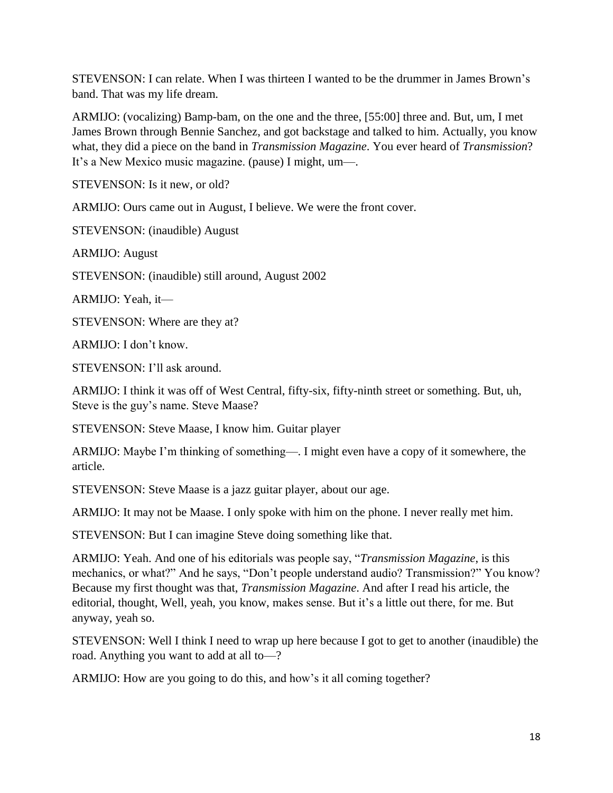STEVENSON: I can relate. When I was thirteen I wanted to be the drummer in James Brown's band. That was my life dream.

ARMIJO: (vocalizing) Bamp-bam, on the one and the three, [55:00] three and. But, um, I met James Brown through Bennie Sanchez, and got backstage and talked to him. Actually, you know what, they did a piece on the band in *Transmission Magazine*. You ever heard of *Transmission*? It's a New Mexico music magazine. (pause) I might, um—.

STEVENSON: Is it new, or old?

ARMIJO: Ours came out in August, I believe. We were the front cover.

STEVENSON: (inaudible) August

ARMIJO: August

STEVENSON: (inaudible) still around, August 2002

ARMIJO: Yeah, it—

STEVENSON: Where are they at?

ARMIJO: I don't know.

STEVENSON: I'll ask around.

ARMIJO: I think it was off of West Central, fifty-six, fifty-ninth street or something. But, uh, Steve is the guy's name. Steve Maase?

STEVENSON: Steve Maase, I know him. Guitar player

ARMIJO: Maybe I'm thinking of something—. I might even have a copy of it somewhere, the article.

STEVENSON: Steve Maase is a jazz guitar player, about our age.

ARMIJO: It may not be Maase. I only spoke with him on the phone. I never really met him.

STEVENSON: But I can imagine Steve doing something like that.

ARMIJO: Yeah. And one of his editorials was people say, "*Transmission Magazine*, is this mechanics, or what?" And he says, "Don't people understand audio? Transmission?" You know? Because my first thought was that, *Transmission Magazine*. And after I read his article, the editorial, thought, Well, yeah, you know, makes sense. But it's a little out there, for me. But anyway, yeah so.

STEVENSON: Well I think I need to wrap up here because I got to get to another (inaudible) the road. Anything you want to add at all to—?

ARMIJO: How are you going to do this, and how's it all coming together?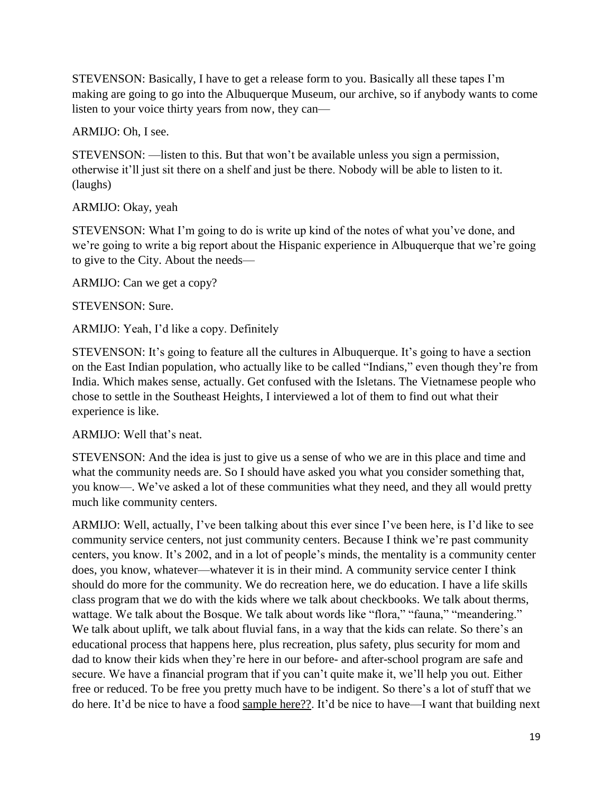STEVENSON: Basically, I have to get a release form to you. Basically all these tapes I'm making are going to go into the Albuquerque Museum, our archive, so if anybody wants to come listen to your voice thirty years from now, they can—

ARMIJO: Oh, I see.

STEVENSON: —listen to this. But that won't be available unless you sign a permission, otherwise it'll just sit there on a shelf and just be there. Nobody will be able to listen to it. (laughs)

ARMIJO: Okay, yeah

STEVENSON: What I'm going to do is write up kind of the notes of what you've done, and we're going to write a big report about the Hispanic experience in Albuquerque that we're going to give to the City. About the needs—

ARMIJO: Can we get a copy?

STEVENSON: Sure.

ARMIJO: Yeah, I'd like a copy. Definitely

STEVENSON: It's going to feature all the cultures in Albuquerque. It's going to have a section on the East Indian population, who actually like to be called "Indians," even though they're from India. Which makes sense, actually. Get confused with the Isletans. The Vietnamese people who chose to settle in the Southeast Heights, I interviewed a lot of them to find out what their experience is like.

ARMIJO: Well that's neat.

STEVENSON: And the idea is just to give us a sense of who we are in this place and time and what the community needs are. So I should have asked you what you consider something that, you know—. We've asked a lot of these communities what they need, and they all would pretty much like community centers.

ARMIJO: Well, actually, I've been talking about this ever since I've been here, is I'd like to see community service centers, not just community centers. Because I think we're past community centers, you know. It's 2002, and in a lot of people's minds, the mentality is a community center does, you know, whatever—whatever it is in their mind. A community service center I think should do more for the community. We do recreation here, we do education. I have a life skills class program that we do with the kids where we talk about checkbooks. We talk about therms, wattage. We talk about the Bosque. We talk about words like "flora," "fauna," "meandering." We talk about uplift, we talk about fluvial fans, in a way that the kids can relate. So there's an educational process that happens here, plus recreation, plus safety, plus security for mom and dad to know their kids when they're here in our before- and after-school program are safe and secure. We have a financial program that if you can't quite make it, we'll help you out. Either free or reduced. To be free you pretty much have to be indigent. So there's a lot of stuff that we do here. It'd be nice to have a food sample here??. It'd be nice to have—I want that building next